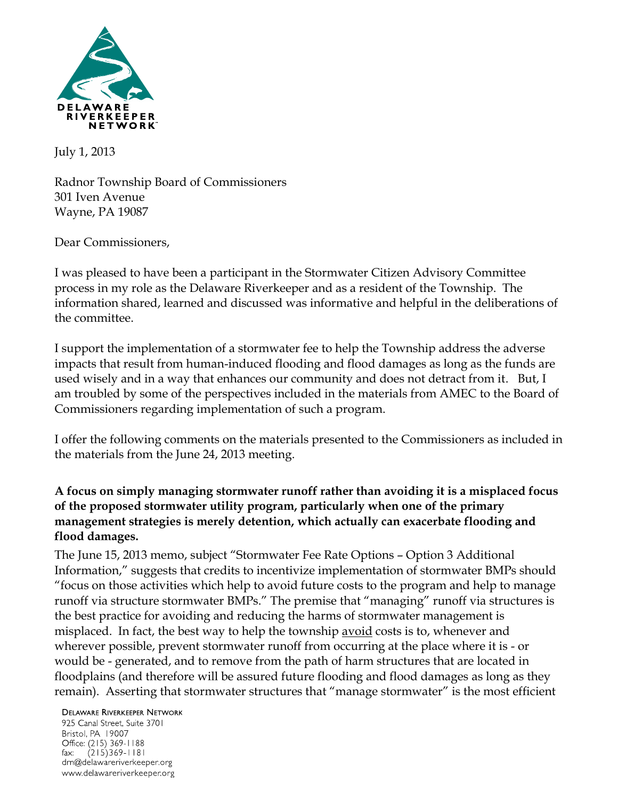

July 1, 2013

Radnor Township Board of Commissioners 301 Iven Avenue Wayne, PA 19087

Dear Commissioners,

I was pleased to have been a participant in the Stormwater Citizen Advisory Committee process in my role as the Delaware Riverkeeper and as a resident of the Township. The information shared, learned and discussed was informative and helpful in the deliberations of the committee.

I support the implementation of a stormwater fee to help the Township address the adverse impacts that result from human-induced flooding and flood damages as long as the funds are used wisely and in a way that enhances our community and does not detract from it. But, I am troubled by some of the perspectives included in the materials from AMEC to the Board of Commissioners regarding implementation of such a program.

I offer the following comments on the materials presented to the Commissioners as included in the materials from the June 24, 2013 meeting.

## **A focus on simply managing stormwater runoff rather than avoiding it is a misplaced focus of the proposed stormwater utility program, particularly when one of the primary management strategies is merely detention, which actually can exacerbate flooding and flood damages.**

The June 15, 2013 memo, subject "Stormwater Fee Rate Options – Option 3 Additional Information," suggests that credits to incentivize implementation of stormwater BMPs should "focus on those activities which help to avoid future costs to the program and help to manage runoff via structure stormwater BMPs." The premise that "managing" runoff via structures is the best practice for avoiding and reducing the harms of stormwater management is misplaced. In fact, the best way to help the township avoid costs is to, whenever and wherever possible, prevent stormwater runoff from occurring at the place where it is - or would be - generated, and to remove from the path of harm structures that are located in floodplains (and therefore will be assured future flooding and flood damages as long as they remain). Asserting that stormwater structures that "manage stormwater" is the most efficient

**DELAWARE RIVERKEEPER NETWORK** 

925 Canal Street, Suite 3701 Bristol, PA 19007 Office: (215) 369-1188 fax:  $(215)369 - 1181$ drn@delawareriverkeeper.org www.delawareriverkeeper.org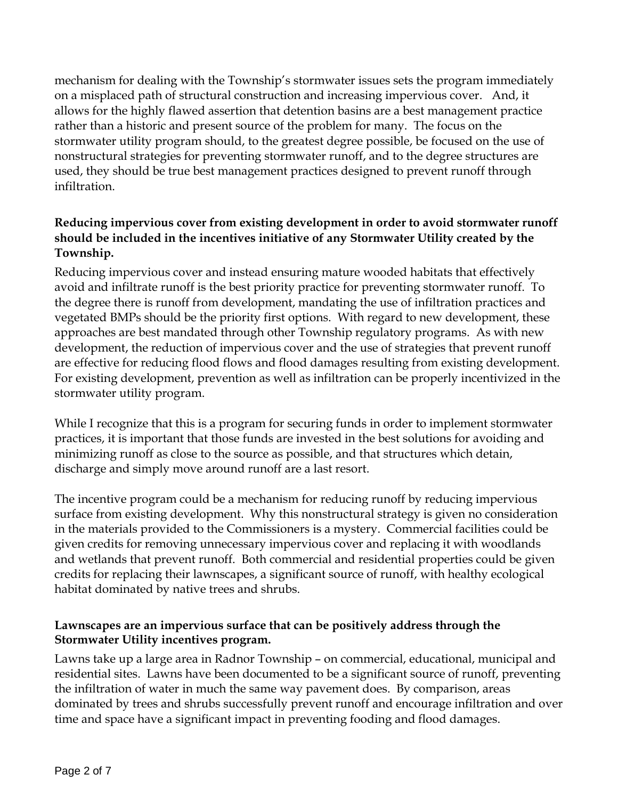mechanism for dealing with the Township's stormwater issues sets the program immediately on a misplaced path of structural construction and increasing impervious cover. And, it allows for the highly flawed assertion that detention basins are a best management practice rather than a historic and present source of the problem for many. The focus on the stormwater utility program should, to the greatest degree possible, be focused on the use of nonstructural strategies for preventing stormwater runoff, and to the degree structures are used, they should be true best management practices designed to prevent runoff through infiltration.

# **Reducing impervious cover from existing development in order to avoid stormwater runoff should be included in the incentives initiative of any Stormwater Utility created by the Township.**

Reducing impervious cover and instead ensuring mature wooded habitats that effectively avoid and infiltrate runoff is the best priority practice for preventing stormwater runoff. To the degree there is runoff from development, mandating the use of infiltration practices and vegetated BMPs should be the priority first options. With regard to new development, these approaches are best mandated through other Township regulatory programs. As with new development, the reduction of impervious cover and the use of strategies that prevent runoff are effective for reducing flood flows and flood damages resulting from existing development. For existing development, prevention as well as infiltration can be properly incentivized in the stormwater utility program.

While I recognize that this is a program for securing funds in order to implement stormwater practices, it is important that those funds are invested in the best solutions for avoiding and minimizing runoff as close to the source as possible, and that structures which detain, discharge and simply move around runoff are a last resort.

The incentive program could be a mechanism for reducing runoff by reducing impervious surface from existing development. Why this nonstructural strategy is given no consideration in the materials provided to the Commissioners is a mystery. Commercial facilities could be given credits for removing unnecessary impervious cover and replacing it with woodlands and wetlands that prevent runoff. Both commercial and residential properties could be given credits for replacing their lawnscapes, a significant source of runoff, with healthy ecological habitat dominated by native trees and shrubs.

## **Lawnscapes are an impervious surface that can be positively address through the Stormwater Utility incentives program.**

Lawns take up a large area in Radnor Township – on commercial, educational, municipal and residential sites. Lawns have been documented to be a significant source of runoff, preventing the infiltration of water in much the same way pavement does. By comparison, areas dominated by trees and shrubs successfully prevent runoff and encourage infiltration and over time and space have a significant impact in preventing fooding and flood damages.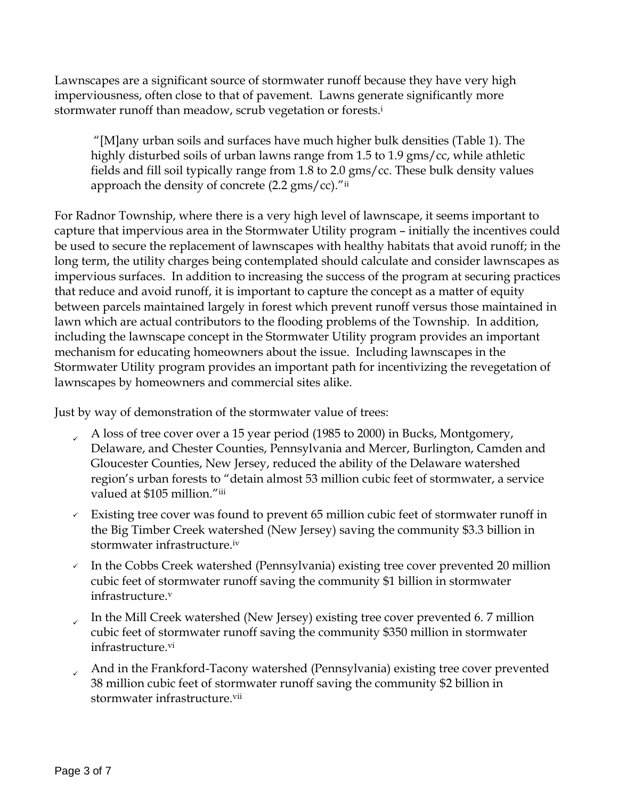Lawnscapes are a significant source of stormwater runoff because they have very high imperviousness, often close to that of pavement. Lawns generate significantly more stormwater runoff than meadow, scrub vegetation or forests.<sup>i</sup>

"[M]any urban soils and surfaces have much higher bulk densities (Table 1). The highly disturbed soils of urban lawns range from 1.5 to 1.9 gms/cc, while athletic fields and fill soil typically range from 1.8 to 2.0 gms/cc. These bulk density values approach the density of concrete  $(2.2 \text{ gms}/\text{cc})$ ."ii

For Radnor Township, where there is a very high level of lawnscape, it seems important to capture that impervious area in the Stormwater Utility program – initially the incentives could be used to secure the replacement of lawnscapes with healthy habitats that avoid runoff; in the long term, the utility charges being contemplated should calculate and consider lawnscapes as impervious surfaces. In addition to increasing the success of the program at securing practices that reduce and avoid runoff, it is important to capture the concept as a matter of equity between parcels maintained largely in forest which prevent runoff versus those maintained in lawn which are actual contributors to the flooding problems of the Township. In addition, including the lawnscape concept in the Stormwater Utility program provides an important mechanism for educating homeowners about the issue. Including lawnscapes in the Stormwater Utility program provides an important path for incentivizing the revegetation of lawnscapes by homeowners and commercial sites alike.

Just by way of demonstration of the stormwater value of trees:

- A loss of tree cover over a 15 year period (1985 to 2000) in Bucks, Montgomery, Delaware, and Chester Counties, Pennsylvania and Mercer, Burlington, Camden and Gloucester Counties, New Jersey, reduced the ability of the Delaware watershed region's urban forests to "detain almost 53 million cubic feet of stormwater, a service valued at \$105 million."iii
- $\sim$  Existing tree cover was found to prevent 65 million cubic feet of stormwater runoff in the Big Timber Creek watershed (New Jersey) saving the community \$3.3 billion in stormwater infrastructure.iv
- $\sim$  In the Cobbs Creek watershed (Pennsylvania) existing tree cover prevented 20 million cubic feet of stormwater runoff saving the community \$1 billion in stormwater infrastructure.<sup>v</sup>
- ✓ In the Mill Creek watershed (New Jersey) existing tree cover prevented 6. 7 million cubic feet of stormwater runoff saving the community \$350 million in stormwater infrastructure.vi
- And in the Frankford-Tacony watershed (Pennsylvania) existing tree cover prevented 38 million cubic feet of stormwater runoff saving the community \$2 billion in stormwater infrastructure vii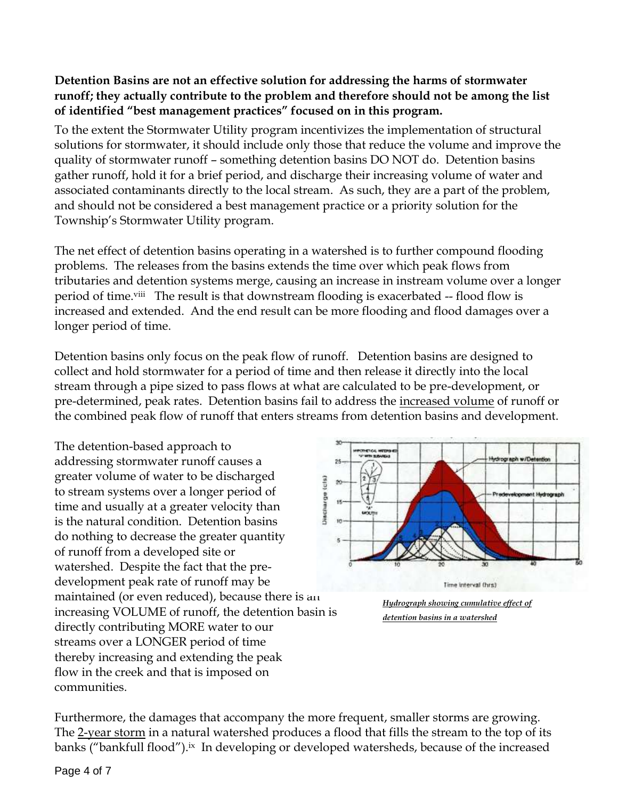## **Detention Basins are not an effective solution for addressing the harms of stormwater runoff; they actually contribute to the problem and therefore should not be among the list of identified "best management practices" focused on in this program.**

To the extent the Stormwater Utility program incentivizes the implementation of structural solutions for stormwater, it should include only those that reduce the volume and improve the quality of stormwater runoff – something detention basins DO NOT do. Detention basins gather runoff, hold it for a brief period, and discharge their increasing volume of water and associated contaminants directly to the local stream. As such, they are a part of the problem, and should not be considered a best management practice or a priority solution for the Township's Stormwater Utility program.

The net effect of detention basins operating in a watershed is to further compound flooding problems. The releases from the basins extends the time over which peak flows from tributaries and detention systems merge, causing an increase in instream volume over a longer period of time.<sup>viii</sup> The result is that downstream flooding is exacerbated -- flood flow is increased and extended. And the end result can be more flooding and flood damages over a longer period of time.

Detention basins only focus on the peak flow of runoff. Detention basins are designed to collect and hold stormwater for a period of time and then release it directly into the local stream through a pipe sized to pass flows at what are calculated to be pre-development, or pre-determined, peak rates. Detention basins fail to address the increased volume of runoff or the combined peak flow of runoff that enters streams from detention basins and development.

The detention-based approach to addressing stormwater runoff causes a greater volume of water to be discharged Discharge (cis) to stream systems over a longer period of time and usually at a greater velocity than is the natural condition. Detention basins do nothing to decrease the greater quantity of runoff from a developed site or watershed. Despite the fact that the predevelopment peak rate of runoff may be maintained (or even reduced), because there is an increasing VOLUME of runoff, the detention basin is directly contributing MORE water to our streams over a LONGER period of time thereby increasing and extending the peak flow in the creek and that is imposed on communities.



*Hydrograph showing cumulative effect of detention basins in a watershed*

Furthermore, the damages that accompany the more frequent, smaller storms are growing. The 2-year storm in a natural watershed produces a flood that fills the stream to the top of its banks ("bankfull flood").<sup>ix</sup> In developing or developed watersheds, because of the increased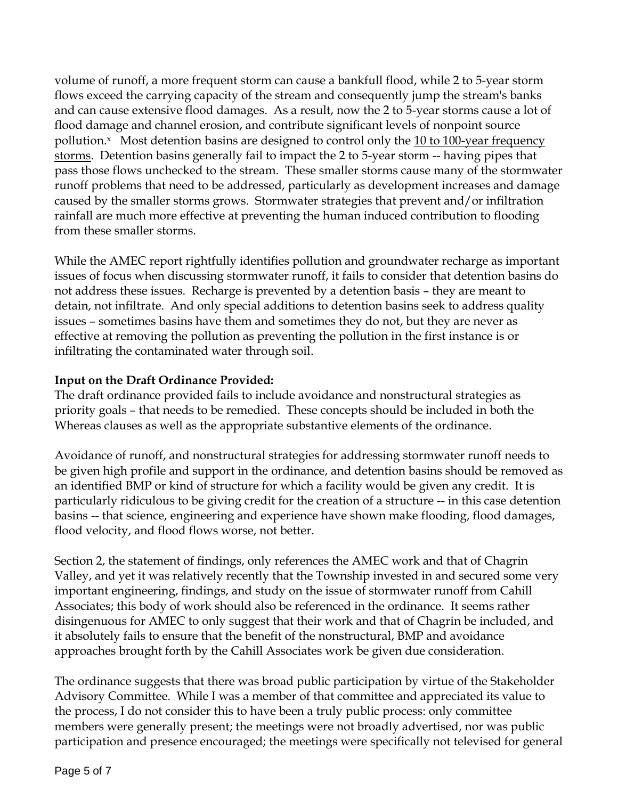volume of runoff, a more frequent storm can cause a bankfull flood, while 2 to 5-year storm flows exceed the carrying capacity of the stream and consequently jump the stream's banks and can cause extensive flood damages. As a result, now the 2 to 5-year storms cause a lot of flood damage and channel erosion, and contribute significant levels of nonpoint source pollution. $x$  Most detention basins are designed to control only the 10 to 100-year frequency storms. Detention basins generally fail to impact the 2 to 5-year storm -- having pipes that pass those flows unchecked to the stream. These smaller storms cause many of the stormwater runoff problems that need to be addressed, particularly as development increases and damage caused by the smaller storms grows. Stormwater strategies that prevent and/or infiltration rainfall are much more effective at preventing the human induced contribution to flooding from these smaller storms.

While the AMEC report rightfully identifies pollution and groundwater recharge as important issues of focus when discussing stormwater runoff, it fails to consider that detention basins do not address these issues. Recharge is prevented by a detention basis – they are meant to detain, not infiltrate. And only special additions to detention basins seek to address quality issues – sometimes basins have them and sometimes they do not, but they are never as effective at removing the pollution as preventing the pollution in the first instance is or infiltrating the contaminated water through soil.

## **Input on the Draft Ordinance Provided:**

The draft ordinance provided fails to include avoidance and nonstructural strategies as priority goals – that needs to be remedied. These concepts should be included in both the Whereas clauses as well as the appropriate substantive elements of the ordinance.

Avoidance of runoff, and nonstructural strategies for addressing stormwater runoff needs to be given high profile and support in the ordinance, and detention basins should be removed as an identified BMP or kind of structure for which a facility would be given any credit. It is particularly ridiculous to be giving credit for the creation of a structure -- in this case detention basins -- that science, engineering and experience have shown make flooding, flood damages, flood velocity, and flood flows worse, not better.

Section 2, the statement of findings, only references the AMEC work and that of Chagrin Valley, and yet it was relatively recently that the Township invested in and secured some very important engineering, findings, and study on the issue of stormwater runoff from Cahill Associates; this body of work should also be referenced in the ordinance. It seems rather disingenuous for AMEC to only suggest that their work and that of Chagrin be included, and it absolutely fails to ensure that the benefit of the nonstructural, BMP and avoidance approaches brought forth by the Cahill Associates work be given due consideration.

The ordinance suggests that there was broad public participation by virtue of the Stakeholder Advisory Committee. While I was a member of that committee and appreciated its value to the process, I do not consider this to have been a truly public process: only committee members were generally present; the meetings were not broadly advertised, nor was public participation and presence encouraged; the meetings were specifically not televised for general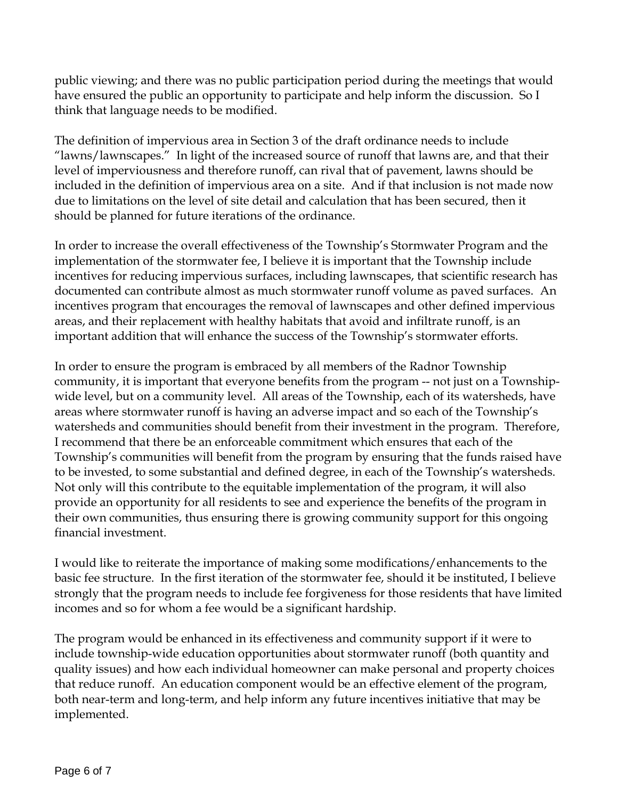public viewing; and there was no public participation period during the meetings that would have ensured the public an opportunity to participate and help inform the discussion. So I think that language needs to be modified.

The definition of impervious area in Section 3 of the draft ordinance needs to include "lawns/lawnscapes." In light of the increased source of runoff that lawns are, and that their level of imperviousness and therefore runoff, can rival that of pavement, lawns should be included in the definition of impervious area on a site. And if that inclusion is not made now due to limitations on the level of site detail and calculation that has been secured, then it should be planned for future iterations of the ordinance.

In order to increase the overall effectiveness of the Township's Stormwater Program and the implementation of the stormwater fee, I believe it is important that the Township include incentives for reducing impervious surfaces, including lawnscapes, that scientific research has documented can contribute almost as much stormwater runoff volume as paved surfaces. An incentives program that encourages the removal of lawnscapes and other defined impervious areas, and their replacement with healthy habitats that avoid and infiltrate runoff, is an important addition that will enhance the success of the Township's stormwater efforts.

In order to ensure the program is embraced by all members of the Radnor Township community, it is important that everyone benefits from the program -- not just on a Townshipwide level, but on a community level. All areas of the Township, each of its watersheds, have areas where stormwater runoff is having an adverse impact and so each of the Township's watersheds and communities should benefit from their investment in the program. Therefore, I recommend that there be an enforceable commitment which ensures that each of the Township's communities will benefit from the program by ensuring that the funds raised have to be invested, to some substantial and defined degree, in each of the Township's watersheds. Not only will this contribute to the equitable implementation of the program, it will also provide an opportunity for all residents to see and experience the benefits of the program in their own communities, thus ensuring there is growing community support for this ongoing financial investment.

I would like to reiterate the importance of making some modifications/enhancements to the basic fee structure. In the first iteration of the stormwater fee, should it be instituted, I believe strongly that the program needs to include fee forgiveness for those residents that have limited incomes and so for whom a fee would be a significant hardship.

The program would be enhanced in its effectiveness and community support if it were to include township-wide education opportunities about stormwater runoff (both quantity and quality issues) and how each individual homeowner can make personal and property choices that reduce runoff. An education component would be an effective element of the program, both near-term and long-term, and help inform any future incentives initiative that may be implemented.